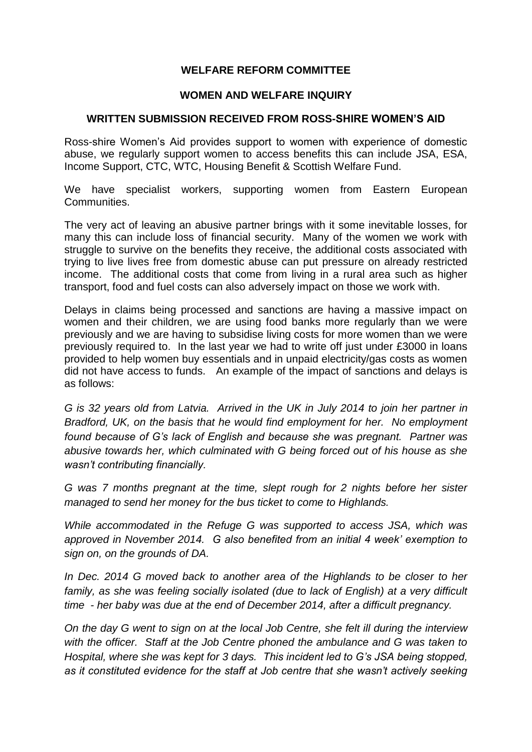## **WELFARE REFORM COMMITTEE**

## **WOMEN AND WELFARE INQUIRY**

## **WRITTEN SUBMISSION RECEIVED FROM ROSS-SHIRE WOMEN'S AID**

Ross-shire Women's Aid provides support to women with experience of domestic abuse, we regularly support women to access benefits this can include JSA, ESA, Income Support, CTC, WTC, Housing Benefit & Scottish Welfare Fund.

We have specialist workers, supporting women from Eastern European Communities.

The very act of leaving an abusive partner brings with it some inevitable losses, for many this can include loss of financial security. Many of the women we work with struggle to survive on the benefits they receive, the additional costs associated with trying to live lives free from domestic abuse can put pressure on already restricted income. The additional costs that come from living in a rural area such as higher transport, food and fuel costs can also adversely impact on those we work with.

Delays in claims being processed and sanctions are having a massive impact on women and their children, we are using food banks more regularly than we were previously and we are having to subsidise living costs for more women than we were previously required to. In the last year we had to write off just under £3000 in loans provided to help women buy essentials and in unpaid electricity/gas costs as women did not have access to funds. An example of the impact of sanctions and delays is as follows:

*G is 32 years old from Latvia. Arrived in the UK in July 2014 to join her partner in Bradford, UK, on the basis that he would find employment for her. No employment found because of G's lack of English and because she was pregnant. Partner was abusive towards her, which culminated with G being forced out of his house as she wasn't contributing financially.*

*G was 7 months pregnant at the time, slept rough for 2 nights before her sister managed to send her money for the bus ticket to come to Highlands.* 

*While accommodated in the Refuge G was supported to access JSA, which was approved in November 2014. G also benefited from an initial 4 week' exemption to sign on, on the grounds of DA.*

*In Dec. 2014 G moved back to another area of the Highlands to be closer to her family, as she was feeling socially isolated (due to lack of English) at a very difficult time - her baby was due at the end of December 2014, after a difficult pregnancy.*

*On the day G went to sign on at the local Job Centre, she felt ill during the interview with the officer. Staff at the Job Centre phoned the ambulance and G was taken to Hospital, where she was kept for 3 days. This incident led to G's JSA being stopped, as it constituted evidence for the staff at Job centre that she wasn't actively seeking*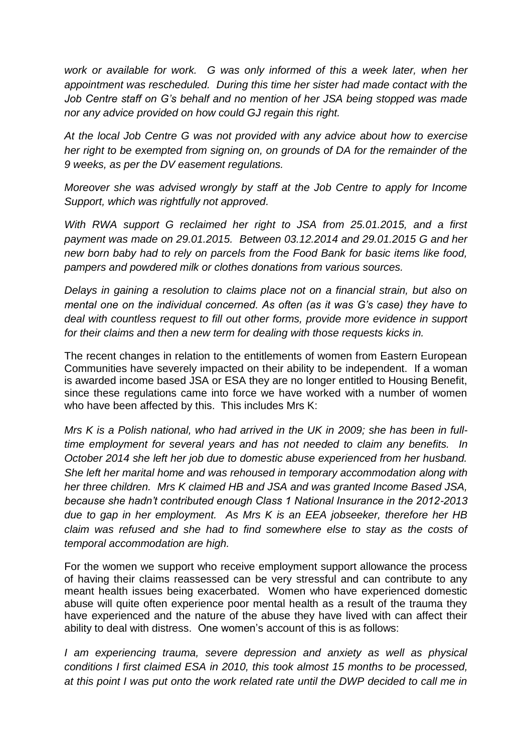*work or available for work. G was only informed of this a week later, when her appointment was rescheduled. During this time her sister had made contact with the Job Centre staff on G's behalf and no mention of her JSA being stopped was made nor any advice provided on how could GJ regain this right.*

*At the local Job Centre G was not provided with any advice about how to exercise her right to be exempted from signing on, on grounds of DA for the remainder of the 9 weeks, as per the DV easement regulations.*

*Moreover she was advised wrongly by staff at the Job Centre to apply for Income Support, which was rightfully not approved.*

*With RWA support G reclaimed her right to JSA from 25.01.2015, and a first payment was made on 29.01.2015. Between 03.12.2014 and 29.01.2015 G and her new born baby had to rely on parcels from the Food Bank for basic items like food, pampers and powdered milk or clothes donations from various sources.* 

*Delays in gaining a resolution to claims place not on a financial strain, but also on mental one on the individual concerned. As often (as it was G's case) they have to deal with countless request to fill out other forms, provide more evidence in support for their claims and then a new term for dealing with those requests kicks in.*

The recent changes in relation to the entitlements of women from Eastern European Communities have severely impacted on their ability to be independent. If a woman is awarded income based JSA or ESA they are no longer entitled to Housing Benefit, since these regulations came into force we have worked with a number of women who have been affected by this. This includes Mrs K:

*Mrs K is a Polish national, who had arrived in the UK in 2009; she has been in fulltime employment for several years and has not needed to claim any benefits. In October 2014 she left her job due to domestic abuse experienced from her husband. She left her marital home and was rehoused in temporary accommodation along with her three children. Mrs K claimed HB and JSA and was granted Income Based JSA, because she hadn't contributed enough Class 1 National Insurance in the 2012-2013 due to gap in her employment. As Mrs K is an EEA jobseeker, therefore her HB claim was refused and she had to find somewhere else to stay as the costs of temporal accommodation are high.*

For the women we support who receive employment support allowance the process of having their claims reassessed can be very stressful and can contribute to any meant health issues being exacerbated. Women who have experienced domestic abuse will quite often experience poor mental health as a result of the trauma they have experienced and the nature of the abuse they have lived with can affect their ability to deal with distress. One women's account of this is as follows:

*I* am experiencing trauma, severe depression and anxiety as well as physical *conditions I first claimed ESA in 2010, this took almost 15 months to be processed, at this point I was put onto the work related rate until the DWP decided to call me in*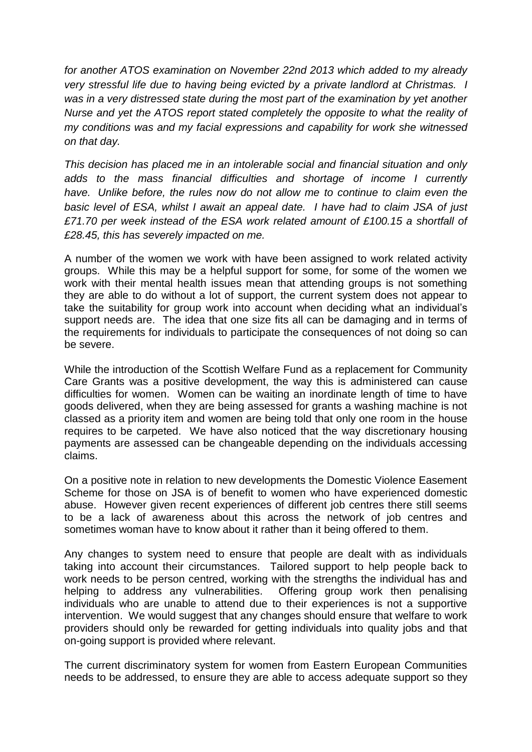*for another ATOS examination on November 22nd 2013 which added to my already very stressful life due to having being evicted by a private landlord at Christmas. I was in a very distressed state during the most part of the examination by yet another Nurse and yet the ATOS report stated completely the opposite to what the reality of my conditions was and my facial expressions and capability for work she witnessed on that day.*

*This decision has placed me in an intolerable social and financial situation and only adds to the mass financial difficulties and shortage of income I currently*  have. Unlike before, the rules now do not allow me to continue to claim even the *basic level of ESA, whilst I await an appeal date. I have had to claim JSA of just £71.70 per week instead of the ESA work related amount of £100.15 a shortfall of £28.45, this has severely impacted on me.*

A number of the women we work with have been assigned to work related activity groups. While this may be a helpful support for some, for some of the women we work with their mental health issues mean that attending groups is not something they are able to do without a lot of support, the current system does not appear to take the suitability for group work into account when deciding what an individual's support needs are. The idea that one size fits all can be damaging and in terms of the requirements for individuals to participate the consequences of not doing so can be severe.

While the introduction of the Scottish Welfare Fund as a replacement for Community Care Grants was a positive development, the way this is administered can cause difficulties for women. Women can be waiting an inordinate length of time to have goods delivered, when they are being assessed for grants a washing machine is not classed as a priority item and women are being told that only one room in the house requires to be carpeted. We have also noticed that the way discretionary housing payments are assessed can be changeable depending on the individuals accessing claims.

On a positive note in relation to new developments the Domestic Violence Easement Scheme for those on JSA is of benefit to women who have experienced domestic abuse. However given recent experiences of different job centres there still seems to be a lack of awareness about this across the network of job centres and sometimes woman have to know about it rather than it being offered to them.

Any changes to system need to ensure that people are dealt with as individuals taking into account their circumstances. Tailored support to help people back to work needs to be person centred, working with the strengths the individual has and helping to address any vulnerabilities. Offering group work then penalising individuals who are unable to attend due to their experiences is not a supportive intervention. We would suggest that any changes should ensure that welfare to work providers should only be rewarded for getting individuals into quality jobs and that on-going support is provided where relevant.

The current discriminatory system for women from Eastern European Communities needs to be addressed, to ensure they are able to access adequate support so they